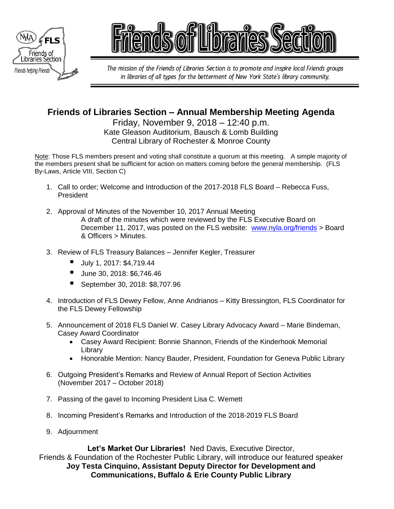



The mission of the Friends of Libraries Section is to promote and inspire local Friends groups in libraries of all types for the betterment of New York State's library community.

# **Friends of Libraries Section – Annual Membership Meeting Agenda**

Friday, November 9, 2018 – 12:40 p.m. Kate Gleason Auditorium, Bausch & Lomb Building Central Library of Rochester & Monroe County

Note: Those FLS members present and voting shall constitute a quorum at this meeting. A simple majority of the members present shall be sufficient for action on matters coming before the general membership. (FLS By-Laws, Article VIII, Section C)

- 1. Call to order; Welcome and Introduction of the 2017-2018 FLS Board Rebecca Fuss, President
- 2. Approval of Minutes of the November 10, 2017 Annual Meeting A draft of the minutes which were reviewed by the FLS Executive Board on December 11, 2017, was posted on the FLS website: [www.nyla.org/friends](http://www.nyla.org/friends) > Board & Officers > Minutes.
- 3. Review of FLS Treasury Balances Jennifer Kegler, Treasurer
	- July 1, 2017: \$4,719.44
	- June 30, 2018: \$6,746.46
	- September 30, 2018: \$8,707.96
- 4. Introduction of FLS Dewey Fellow, Anne Andrianos Kitty Bressington, FLS Coordinator for the FLS Dewey Fellowship
- 5. Announcement of 2018 FLS Daniel W. Casey Library Advocacy Award Marie Bindeman, Casey Award Coordinator
	- Casey Award Recipient: Bonnie Shannon, Friends of the Kinderhook Memorial Library
	- Honorable Mention: Nancy Bauder, President, Foundation for Geneva Public Library
- 6. Outgoing President's Remarks and Review of Annual Report of Section Activities (November 2017 – October 2018)
- 7. Passing of the gavel to Incoming President Lisa C. Wemett
- 8. Incoming President's Remarks and Introduction of the 2018-2019 FLS Board
- 9. Adjournment

**Let's Market Our Libraries!** Ned Davis, Executive Director, Friends & Foundation of the Rochester Public Library, will introduce our featured speaker **Joy Testa Cinquino, Assistant Deputy Director for Development and Communications, Buffalo & Erie County Public Library**